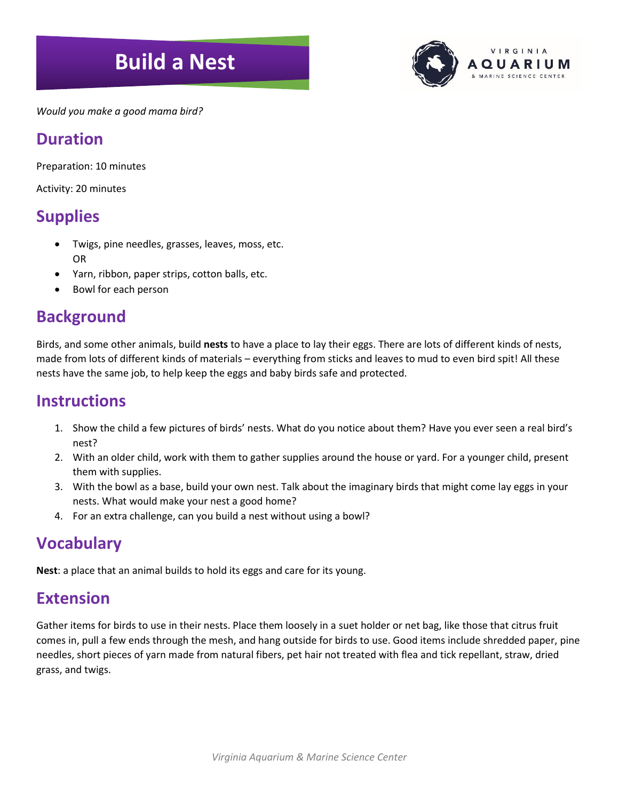# **Build a Nest**



*Would you make a good mama bird?*

## **Duration**

Preparation: 10 minutes

Activity: 20 minutes

# **Supplies**

- Twigs, pine needles, grasses, leaves, moss, etc. OR
- Yarn, ribbon, paper strips, cotton balls, etc.
- Bowl for each person

# **Background**

Birds, and some other animals, build **nests** to have a place to lay their eggs. There are lots of different kinds of nests, made from lots of different kinds of materials – everything from sticks and leaves to mud to even bird spit! All these nests have the same job, to help keep the eggs and baby birds safe and protected.

### **Instructions**

- 1. Show the child a few pictures of birds' nests. What do you notice about them? Have you ever seen a real bird's nest?
- 2. With an older child, work with them to gather supplies around the house or yard. For a younger child, present them with supplies.
- 3. With the bowl as a base, build your own nest. Talk about the imaginary birds that might come lay eggs in your nests. What would make your nest a good home?
- 4. For an extra challenge, can you build a nest without using a bowl?

# **Vocabulary**

**Nest**: a place that an animal builds to hold its eggs and care for its young.

#### **Extension**

Gather items for birds to use in their nests. Place them loosely in a suet holder or net bag, like those that citrus fruit comes in, pull a few ends through the mesh, and hang outside for birds to use. Good items include shredded paper, pine needles, short pieces of yarn made from natural fibers, pet hair not treated with flea and tick repellant, straw, dried grass, and twigs.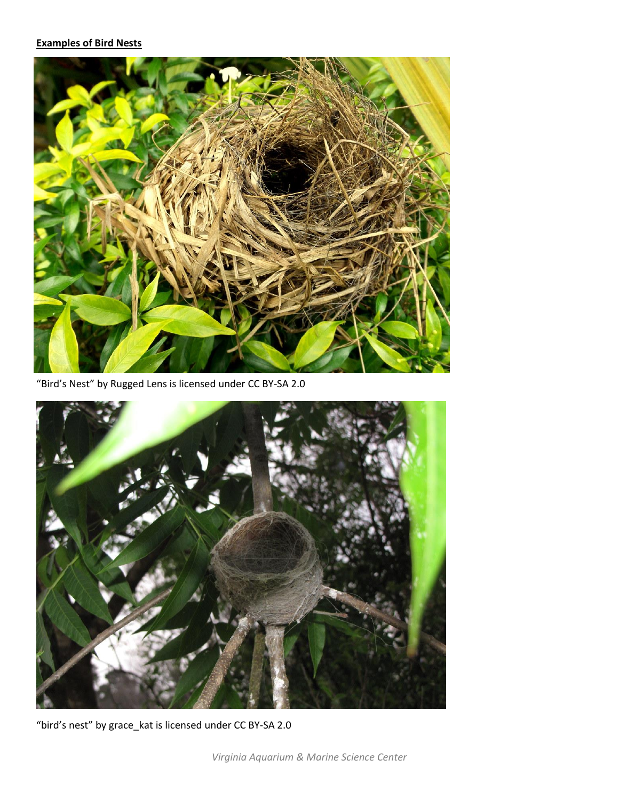#### **Examples of Bird Nests**



"Bird's Nest" by Rugged Lens is licensed under CC BY-SA 2.0



"bird's nest" by grace\_kat is licensed under CC BY-SA 2.0

*Virginia Aquarium & Marine Science Center*